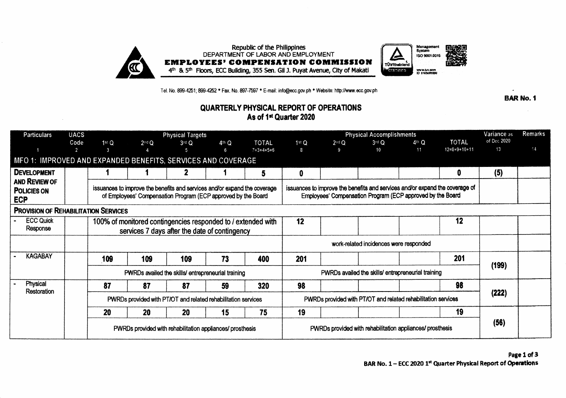

Tel. No. 899-4251; 899-4252 \* Fax. No. 897-7597 \* E-mail: info@ecc.gov.ph \* Website: http://www.ecc.gov.ph

## QUARTERLY PHYSICAL REPORT OF OPERATIONS As of 1st Quarter 2020

| <b>Particulars</b>                                                      | <b>UACS</b> | <b>Physical Targets</b>                                                                                  |            |                 |                                                                                                                                            |                                     |                                                                                                                                            | <b>Physical Accomplishments</b>                               | Variance as         | Remarks     |                                |                   |    |
|-------------------------------------------------------------------------|-------------|----------------------------------------------------------------------------------------------------------|------------|-----------------|--------------------------------------------------------------------------------------------------------------------------------------------|-------------------------------------|--------------------------------------------------------------------------------------------------------------------------------------------|---------------------------------------------------------------|---------------------|-------------|--------------------------------|-------------------|----|
|                                                                         | Code<br>-2. | 1 <sup>st</sup> Q<br>3                                                                                   | $2^{nd}$ Q | $3^{rd}$ Q<br>5 | $4th$ Q<br>ĥ                                                                                                                               | <b>TOTAL</b><br>$7 = 3 + 4 + 5 + 6$ | 1stQ<br>8                                                                                                                                  | $2nd$ Q<br>9                                                  | $3$ rd Q<br>$10-10$ | 4th Q<br>11 | <b>TOTAL</b><br>$12=8+9+10+11$ | of Dec 2020<br>13 | 14 |
| MFO 1: IMPROVED AND EXPANDED BENEFITS, SERVICES AND COVERAGE            |             |                                                                                                          |            |                 |                                                                                                                                            |                                     |                                                                                                                                            |                                                               |                     |             |                                |                   |    |
| <b>DEVELOPMENT</b><br>AND REVIEW OF<br><b>POLICIES ON</b><br><b>ECP</b> |             |                                                                                                          |            | 2               |                                                                                                                                            | 5                                   | 0                                                                                                                                          |                                                               |                     |             | 0                              | (5)               |    |
|                                                                         |             |                                                                                                          |            |                 | issuances to improve the benefits and services and/or expand the coverage<br>of Employees' Compensation Program (ECP approved by the Board |                                     | issuances to improve the benefits and services and/or expand the coverage of<br>Employees' Compensation Program (ECP approved by the Board |                                                               |                     |             |                                |                   |    |
| <b>PROVISION OF REHABILITATION SERVICES</b>                             |             |                                                                                                          |            |                 |                                                                                                                                            |                                     |                                                                                                                                            |                                                               |                     |             |                                |                   |    |
| <b>ECC Quick</b><br>Response                                            |             |                                                                                                          |            |                 | 100% of monitored contingencies responded to / extended with<br>services 7 days after the date of contingency                              |                                     | 12                                                                                                                                         |                                                               |                     |             | 12                             |                   |    |
|                                                                         |             |                                                                                                          |            |                 |                                                                                                                                            |                                     |                                                                                                                                            | work-related incidences were responded                        |                     |             |                                |                   |    |
| <b>KAGABAY</b>                                                          |             | 109                                                                                                      | 109        | 109             | 73                                                                                                                                         | 400                                 | 201                                                                                                                                        |                                                               |                     |             | 201                            |                   |    |
|                                                                         |             | PWRDs availed the skills/ entrepreneurial training<br>PWRDs availed the skills/ entrepreneurial training |            |                 |                                                                                                                                            |                                     |                                                                                                                                            |                                                               |                     | (199)       |                                |                   |    |
| Physical<br>Restoration                                                 |             | 87                                                                                                       | 87         | 87              | 59                                                                                                                                         | 320                                 | 98                                                                                                                                         |                                                               |                     |             | 98                             |                   |    |
|                                                                         |             |                                                                                                          |            |                 | PWRDs provided with PT/OT and related rehabilitation services                                                                              |                                     |                                                                                                                                            | PWRDs provided with PT/OT and related rehabilitation services | (222)               |             |                                |                   |    |
|                                                                         |             | 20                                                                                                       | <b>20</b>  | <b>20</b>       | 15                                                                                                                                         | 75                                  | 19                                                                                                                                         |                                                               |                     |             | 19                             |                   |    |
|                                                                         |             | PWRDs provided with rehabilitation appliances/ prosthesis                                                |            |                 |                                                                                                                                            |                                     |                                                                                                                                            | PWRDs provided with rehabilitation appliances/ prosthesis     | (56)                |             |                                |                   |    |

**BAR No. 1**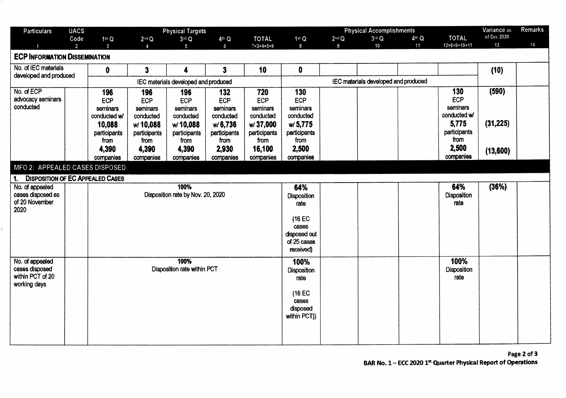| <b>Particulars</b>                                                             | <b>UACS</b>    |                                                                                                |                                                                                               | <b>Physical Targets</b>                                                                              |                                                                                              |                                                                                                |                                                                                                  | Variance as                          | Remarks |         |                                                                                                      |                                |    |
|--------------------------------------------------------------------------------|----------------|------------------------------------------------------------------------------------------------|-----------------------------------------------------------------------------------------------|------------------------------------------------------------------------------------------------------|----------------------------------------------------------------------------------------------|------------------------------------------------------------------------------------------------|--------------------------------------------------------------------------------------------------|--------------------------------------|---------|---------|------------------------------------------------------------------------------------------------------|--------------------------------|----|
|                                                                                | Code           | 1 <sup>st</sup> Q                                                                              | $2^{nd}$ Q                                                                                    | $3rd$ Q                                                                                              | 4 <sup>th</sup> Q                                                                            | <b>TOTAL</b>                                                                                   | 1stQ                                                                                             | $2^{nd}$ Q                           | $3rd$ Q | $4th$ Q | <b>TOTAL</b>                                                                                         | of Dec 2020                    |    |
|                                                                                | $\overline{2}$ | $\mathbf{3}$                                                                                   | $\Delta$                                                                                      | 5                                                                                                    | 6                                                                                            | $7 = 3 + 4 + 5 + 6$                                                                            | 8                                                                                                | 9                                    | 10      | 11      | $12=8+9+10+11$                                                                                       | 13                             | 14 |
| <b>ECP INFORMATION DISSEMINATION</b>                                           |                |                                                                                                |                                                                                               |                                                                                                      |                                                                                              |                                                                                                |                                                                                                  |                                      |         |         |                                                                                                      |                                |    |
| No. of IEC materials                                                           |                | $\mathbf{0}$                                                                                   | $\overline{\mathbf{3}}$                                                                       | 4                                                                                                    | $\overline{\mathbf{3}}$                                                                      | 10                                                                                             | 0                                                                                                |                                      |         |         |                                                                                                      | (10)                           |    |
| developed and produced                                                         |                | IEC materials developed and produced                                                           |                                                                                               |                                                                                                      |                                                                                              |                                                                                                |                                                                                                  | IEC materials developed and produced |         |         |                                                                                                      |                                |    |
| No. of ECP<br>advocacy seminars<br>conducted<br>MFO 2: APPEALED CASES DISPOSED |                | 196<br>ECP<br>seminars<br>conducted w/<br>10,088<br>participants<br>from<br>4,390<br>companies | 196<br>ECP<br>seminars<br>conducted<br>w/10,088<br>participants<br>from<br>4,390<br>companies | 196<br><b>ECP</b><br>seminars<br>conducted<br>w/10,088<br>participants<br>from<br>4,390<br>companies | 132<br>ECP<br>seminars<br>conducted<br>w/6,736<br>participants<br>from<br>2,930<br>companies | 720<br>ECP<br>seminars<br>conducted<br>w/37,000<br>participants<br>from<br>16,100<br>companies | 130<br>ECP<br>seminars<br>conducted<br>w/ 5,775<br>participants<br>from<br>2,500<br>companies    |                                      |         |         | 130<br><b>ECP</b><br>seminars<br>conducted w/<br>5,775<br>participants<br>from<br>2,500<br>companies | (590)<br>(31, 225)<br>(13,600) |    |
| <b>DISPOSITION OF EC APPEALED CASES</b><br>1.                                  |                |                                                                                                |                                                                                               |                                                                                                      |                                                                                              |                                                                                                |                                                                                                  |                                      |         |         |                                                                                                      |                                |    |
| No. of appealed<br>cases disposed as<br>of 20 November<br>2020                 |                |                                                                                                |                                                                                               | 100%<br>Disposition rate by Nov. 20, 2020                                                            |                                                                                              |                                                                                                | 64%<br><b>Disposition</b><br>rate<br>(16 EC<br>cases<br>disposed out<br>of 25 cases<br>received) |                                      |         |         | 64%<br>Disposition<br>rate                                                                           | (36%)                          |    |
| No. of appealed<br>cases disposed<br>within PCT of 20<br>working days          |                | 100%<br>Disposition rate within PCT                                                            |                                                                                               |                                                                                                      |                                                                                              |                                                                                                | 100%<br><b>Disposition</b><br>rate<br>(16 EC<br>cases<br>disposed<br>within PCT))                |                                      |         |         | 100%<br>Disposition<br>rate                                                                          |                                |    |

ţ.